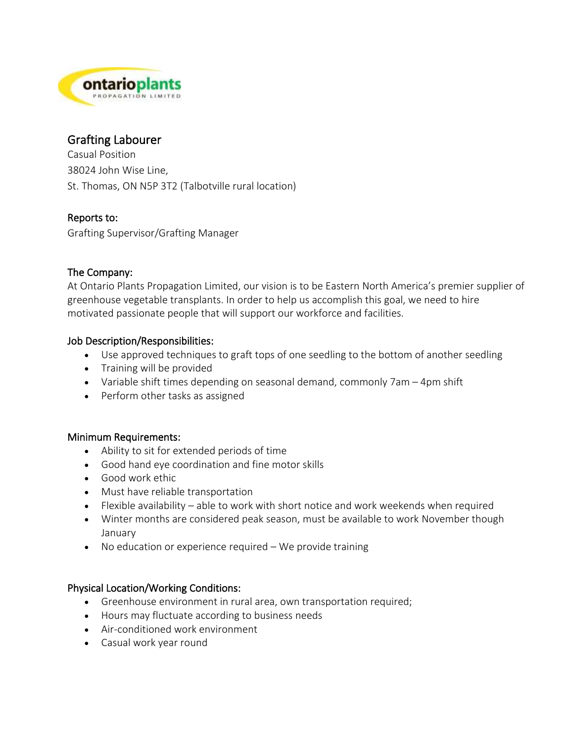

# Grafting Labourer

Casual Position 38024 John Wise Line, St. Thomas, ON N5P 3T2 (Talbotville rural location)

## Reports to:

Grafting Supervisor/Grafting Manager

# The Company:

At Ontario Plants Propagation Limited, our vision is to be Eastern North America's premier supplier of greenhouse vegetable transplants. In order to help us accomplish this goal, we need to hire motivated passionate people that will support our workforce and facilities.

## Job Description/Responsibilities:

- Use approved techniques to graft tops of one seedling to the bottom of another seedling
- Training will be provided
- Variable shift times depending on seasonal demand, commonly 7am 4pm shift
- Perform other tasks as assigned

# Minimum Requirements:

- Ability to sit for extended periods of time
- Good hand eye coordination and fine motor skills
- Good work ethic
- Must have reliable transportation
- Flexible availability able to work with short notice and work weekends when required
- Winter months are considered peak season, must be available to work November though January
- No education or experience required We provide training

# Physical Location/Working Conditions:

- Greenhouse environment in rural area, own transportation required;
- Hours may fluctuate according to business needs
- Air-conditioned work environment
- Casual work year round